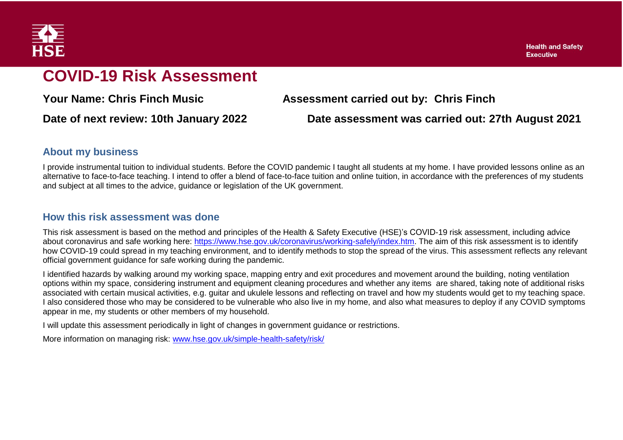

# **COVID-19 Risk Assessment**

# **Your Name: Chris Finch Music Assessment carried out by: Chris Finch**

**Date of next review: 10th January 2022 Date assessment was carried out: 27th August 2021**

## **About my business**

I provide instrumental tuition to individual students. Before the COVID pandemic I taught all students at my home. I have provided lessons online as an alternative to face-to-face teaching. I intend to offer a blend of face-to-face tuition and online tuition, in accordance with the preferences of my students and subject at all times to the advice, guidance or legislation of the UK government.

## **How this risk assessment was done**

This risk assessment is based on the method and principles of the Health & Safety Executive (HSE)'s COVID-19 risk assessment, including advice about coronavirus and safe working here: [https://www.hse.gov.uk/coronavirus/working-safely/index.htm.](https://www.hse.gov.uk/coronavirus/working-safely/index.htm) The aim of this risk assessment is to identify how COVID-19 could spread in my teaching environment, and to identify methods to stop the spread of the virus. This assessment reflects any relevant official government guidance for safe working during the pandemic.

I identified hazards by walking around my working space, mapping entry and exit procedures and movement around the building, noting ventilation options within my space, considering instrument and equipment cleaning procedures and whether any items are shared, taking note of additional risks associated with certain musical activities, e.g. guitar and ukulele lessons and reflecting on travel and how my students would get to my teaching space. I also considered those who may be considered to be vulnerable who also live in my home, and also what measures to deploy if any COVID symptoms appear in me, my students or other members of my household.

I will update this assessment periodically in light of changes in government guidance or restrictions.

More information on managing risk: [www.hse.gov.uk/simple-health-safety/risk/](http://www.hse.gov.uk/simple-health-safety/risk/)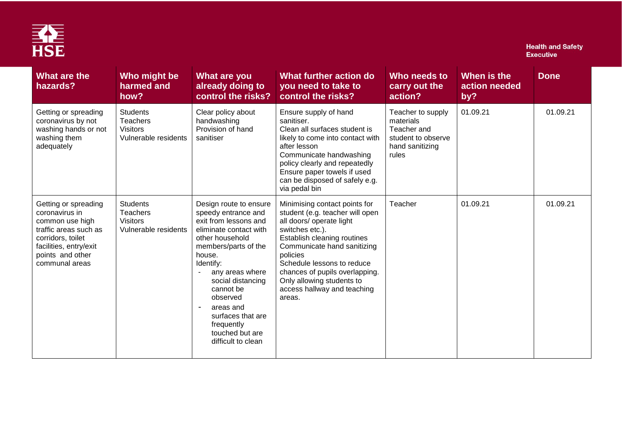

### **Health and Safety Executive**

| What are the<br>hazards?                                                                                                                                                | Who might be<br>harmed and<br>how?                                            | What are you<br>already doing to<br>control the risks?                                                                                                                                                                                                                                                                                 | What further action do<br>you need to take to<br>control the risks?                                                                                                                                                                                                                                                             | Who needs to<br>carry out the<br>action?                                                        | When is the<br>action needed<br>by? | <b>Done</b> |
|-------------------------------------------------------------------------------------------------------------------------------------------------------------------------|-------------------------------------------------------------------------------|----------------------------------------------------------------------------------------------------------------------------------------------------------------------------------------------------------------------------------------------------------------------------------------------------------------------------------------|---------------------------------------------------------------------------------------------------------------------------------------------------------------------------------------------------------------------------------------------------------------------------------------------------------------------------------|-------------------------------------------------------------------------------------------------|-------------------------------------|-------------|
| Getting or spreading<br>coronavirus by not<br>washing hands or not<br>washing them<br>adequately                                                                        | <b>Students</b><br><b>Teachers</b><br><b>Visitors</b><br>Vulnerable residents | Clear policy about<br>handwashing<br>Provision of hand<br>sanitiser                                                                                                                                                                                                                                                                    | Ensure supply of hand<br>sanitiser.<br>Clean all surfaces student is<br>likely to come into contact with<br>after lesson<br>Communicate handwashing<br>policy clearly and repeatedly<br>Ensure paper towels if used<br>can be disposed of safely e.g.<br>via pedal bin                                                          | Teacher to supply<br>materials<br>Teacher and<br>student to observe<br>hand sanitizing<br>rules | 01.09.21                            | 01.09.21    |
| Getting or spreading<br>coronavirus in<br>common use high<br>traffic areas such as<br>corridors, toilet<br>facilities, entry/exit<br>points and other<br>communal areas | <b>Students</b><br><b>Teachers</b><br><b>Visitors</b><br>Vulnerable residents | Design route to ensure<br>speedy entrance and<br>exit from lessons and<br>eliminate contact with<br>other household<br>members/parts of the<br>house.<br>Identify:<br>any areas where<br>social distancing<br>cannot be<br>observed<br>areas and<br>$\sim$<br>surfaces that are<br>frequently<br>touched but are<br>difficult to clean | Minimising contact points for<br>student (e.g. teacher will open<br>all doors/ operate light<br>switches etc.).<br>Establish cleaning routines<br>Communicate hand sanitizing<br>policies<br>Schedule lessons to reduce<br>chances of pupils overlapping.<br>Only allowing students to<br>access hallway and teaching<br>areas. | Teacher                                                                                         | 01.09.21                            | 01.09.21    |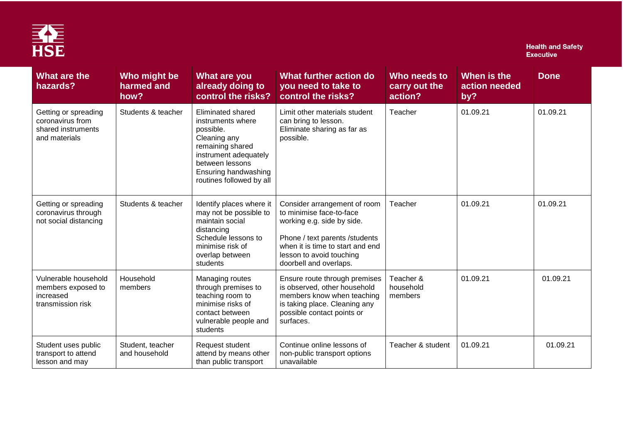

**Health and Safety Executive** 

| What are the<br>hazards?                                                        | Who might be<br>harmed and<br>how? | What are you<br>already doing to<br>control the risks?                                                                                                                                         | What further action do<br>you need to take to<br>control the risks?                                                                                                                                                 | Who needs to<br>carry out the<br>action? | When is the<br>action needed<br>by? | <b>Done</b> |
|---------------------------------------------------------------------------------|------------------------------------|------------------------------------------------------------------------------------------------------------------------------------------------------------------------------------------------|---------------------------------------------------------------------------------------------------------------------------------------------------------------------------------------------------------------------|------------------------------------------|-------------------------------------|-------------|
| Getting or spreading<br>coronavirus from<br>shared instruments<br>and materials | Students & teacher                 | <b>Eliminated shared</b><br>instruments where<br>possible.<br>Cleaning any<br>remaining shared<br>instrument adequately<br>between lessons<br>Ensuring handwashing<br>routines followed by all | Limit other materials student<br>can bring to lesson.<br>Eliminate sharing as far as<br>possible.                                                                                                                   | Teacher                                  | 01.09.21                            | 01.09.21    |
| Getting or spreading<br>coronavirus through<br>not social distancing            | Students & teacher                 | Identify places where it<br>may not be possible to<br>maintain social<br>distancing<br>Schedule lessons to<br>minimise risk of<br>overlap between<br>students                                  | Consider arrangement of room<br>to minimise face-to-face<br>working e.g. side by side.<br>Phone / text parents / students<br>when it is time to start and end<br>lesson to avoid touching<br>doorbell and overlaps. | Teacher                                  | 01.09.21                            | 01.09.21    |
| Vulnerable household<br>members exposed to<br>increased<br>transmission risk    | Household<br>members               | Managing routes<br>through premises to<br>teaching room to<br>minimise risks of<br>contact between<br>vulnerable people and<br>students                                                        | Ensure route through premises<br>is observed, other household<br>members know when teaching<br>is taking place. Cleaning any<br>possible contact points or<br>surfaces.                                             | Teacher &<br>household<br>members        | 01.09.21                            | 01.09.21    |
| Student uses public<br>transport to attend<br>lesson and may                    | Student, teacher<br>and household  | Request student<br>attend by means other<br>than public transport                                                                                                                              | Continue online lessons of<br>non-public transport options<br>unavailable                                                                                                                                           | Teacher & student                        | 01.09.21                            | 01.09.21    |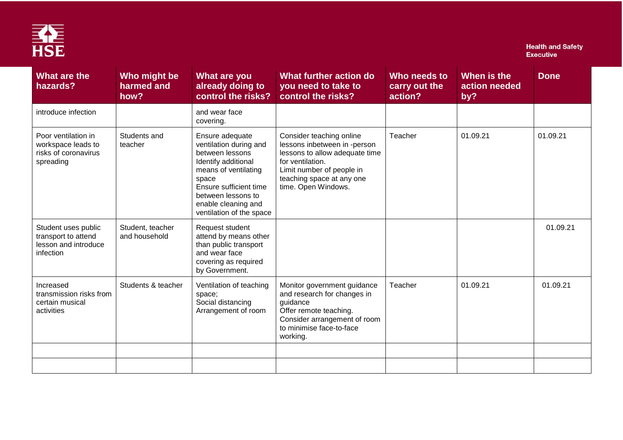

### **Health and Safety Executive**

| What are the<br>hazards?                                                        | Who might be<br>harmed and<br>how? | What are you<br>already doing to<br>control the risks?                                                                                                                                                                  | What further action do<br>you need to take to<br>control the risks?                                                                                                                             | Who needs to<br>carry out the<br>action? | When is the<br>action needed<br>by? | <b>Done</b> |
|---------------------------------------------------------------------------------|------------------------------------|-------------------------------------------------------------------------------------------------------------------------------------------------------------------------------------------------------------------------|-------------------------------------------------------------------------------------------------------------------------------------------------------------------------------------------------|------------------------------------------|-------------------------------------|-------------|
| introduce infection                                                             |                                    | and wear face<br>covering.                                                                                                                                                                                              |                                                                                                                                                                                                 |                                          |                                     |             |
| Poor ventilation in<br>workspace leads to<br>risks of coronavirus<br>spreading  | Students and<br>teacher            | Ensure adequate<br>ventilation during and<br>between lessons<br>Identify additional<br>means of ventilating<br>space<br>Ensure sufficient time<br>between lessons to<br>enable cleaning and<br>ventilation of the space | Consider teaching online<br>lessons inbetween in -person<br>lessons to allow adequate time<br>for ventilation.<br>Limit number of people in<br>teaching space at any one<br>time. Open Windows. | Teacher                                  | 01.09.21                            | 01.09.21    |
| Student uses public<br>transport to attend<br>lesson and introduce<br>infection | Student, teacher<br>and household  | Request student<br>attend by means other<br>than public transport<br>and wear face<br>covering as required<br>by Government.                                                                                            |                                                                                                                                                                                                 |                                          |                                     | 01.09.21    |
| Increased<br>transmission risks from<br>certain musical<br>activities           | Students & teacher                 | Ventilation of teaching<br>space;<br>Social distancing<br>Arrangement of room                                                                                                                                           | Monitor government guidance<br>and research for changes in<br>guidance<br>Offer remote teaching.<br>Consider arrangement of room<br>to minimise face-to-face<br>working.                        | Teacher                                  | 01.09.21                            | 01.09.21    |
|                                                                                 |                                    |                                                                                                                                                                                                                         |                                                                                                                                                                                                 |                                          |                                     |             |
|                                                                                 |                                    |                                                                                                                                                                                                                         |                                                                                                                                                                                                 |                                          |                                     |             |